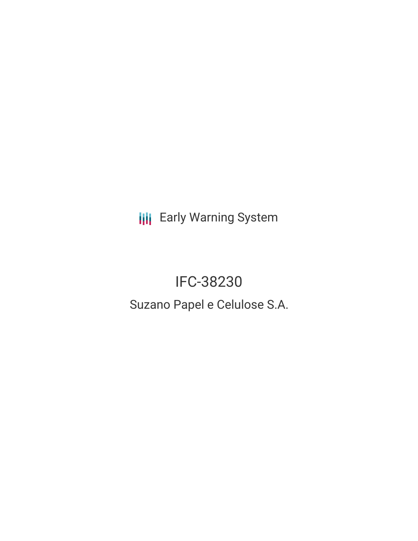**III** Early Warning System

IFC-38230 Suzano Papel e Celulose S.A.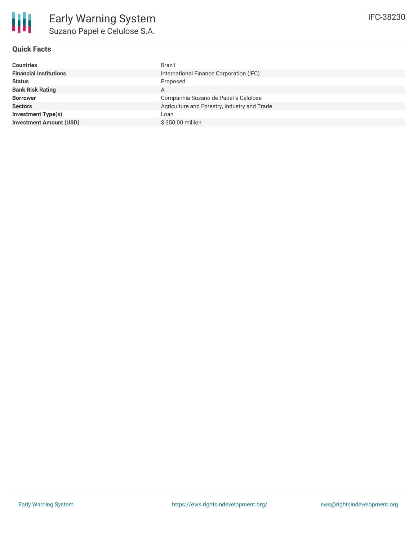

## **Quick Facts**

| <b>Countries</b>               | Brazil                                       |
|--------------------------------|----------------------------------------------|
| <b>Financial Institutions</b>  | International Finance Corporation (IFC)      |
| <b>Status</b>                  | Proposed                                     |
| <b>Bank Risk Rating</b>        | A                                            |
| <b>Borrower</b>                | Companhia Suzano de Papel e Celulose         |
| <b>Sectors</b>                 | Agriculture and Forestry, Industry and Trade |
| <b>Investment Type(s)</b>      | Loan                                         |
| <b>Investment Amount (USD)</b> | \$350.00 million                             |
|                                |                                              |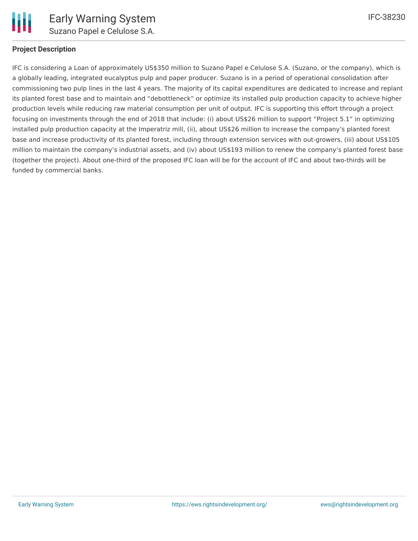

#### **Project Description**

IFC is considering a Loan of approximately US\$350 million to Suzano Papel e Celulose S.A. (Suzano, or the company), which is a globally leading, integrated eucalyptus pulp and paper producer. Suzano is in a period of operational consolidation after commissioning two pulp lines in the last 4 years. The majority of its capital expenditures are dedicated to increase and replant its planted forest base and to maintain and "debottleneck" or optimize its installed pulp production capacity to achieve higher production levels while reducing raw material consumption per unit of output. IFC is supporting this effort through a project focusing on investments through the end of 2018 that include: (i) about US\$26 million to support "Project 5.1" in optimizing installed pulp production capacity at the Imperatriz mill, (ii), about US\$26 million to increase the company's planted forest base and increase productivity of its planted forest, including through extension services with out-growers, (iii) about US\$105 million to maintain the company's industrial assets, and (iv) about US\$193 million to renew the company's planted forest base (together the project). About one-third of the proposed IFC loan will be for the account of IFC and about two-thirds will be funded by commercial banks.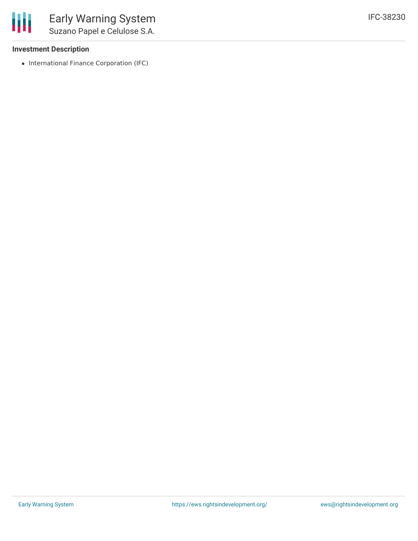### **Investment Description**

• International Finance Corporation (IFC)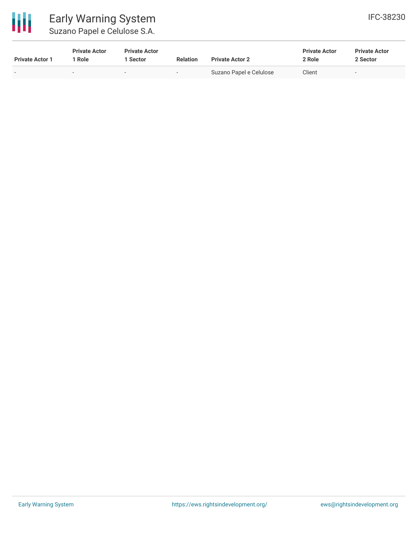

**Private Actor 1**

# Early Warning System Suz

| zano Papel e Celulose S.A. |                      |                 |                        |                      |                      |
|----------------------------|----------------------|-----------------|------------------------|----------------------|----------------------|
| <b>Private Actor</b>       | <b>Private Actor</b> |                 |                        | <b>Private Actor</b> | <b>Private Actor</b> |
| Role                       | 1 Sector             | <b>Relation</b> | <b>Private Actor 2</b> | 2 Role               | 2 Sector             |

Suzano Papel e Celulose client